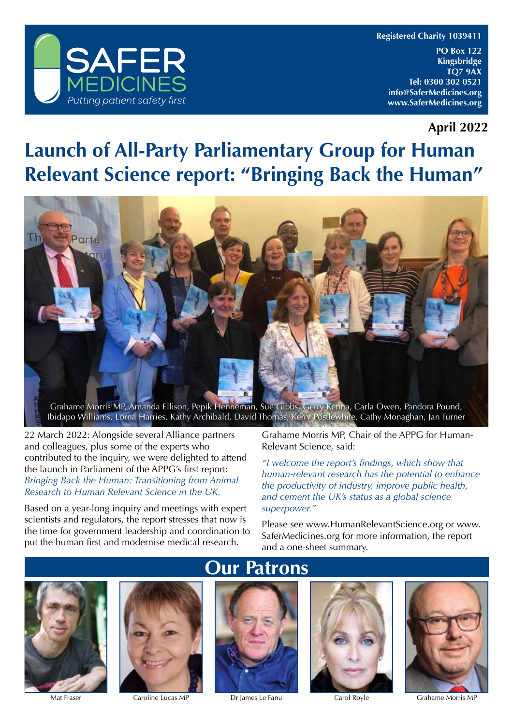

**Registered Charity 1039411**

**PO Box 122 Kingsbridge TQ7 9AX Tel: 0300 302 0521 info@SaferMedicines.org www.SaferMedicines.org**

**April 2022**

#### **Launch of All-Party Parliamentary Group for Human Relevant Science report: "Bringing Back the Human"**



22 March 2022: Alongside several Alliance partners and colleagues, plus some of the experts who contributed to the inquiry, we were delighted to attend the launch in Parliament of the APPG's first report: *Bringing Back the Human: Transitioning from Animal Research to Human Relevant Science in the UK.*

Based on a year-long inquiry and meetings with expert scientists and regulators, the report stresses that now is the time for government leadership and coordination to put the human first and modernise medical research.

Grahame Morris MP, Chair of the APPG for Human-Relevant Science, said:

*"I welcome the report's findings, which show that human-relevant research has the potential to enhance the productivity of industry, improve public health, and cement the UK's status as a global science superpower."*

Please see www.HumanRelevantScience.org or www. SaferMedicines.org for more information, the report and a one-sheet summary.





#### **Our Patrons**



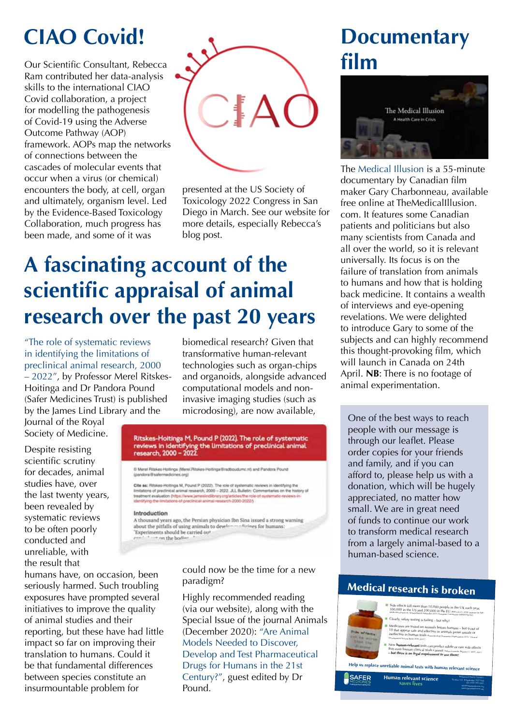### **CIAO Covid!**

Our Scientific Consultant, Rebecca Ram contributed her data-analysis skills to the international CIAO Covid collaboration, a project for modelling the pathogenesis of Covid-19 using the Adverse Outcome Pathway (AOP) framework. AOPs map the networks of connections between the cascades of molecular events that occur when a virus (or chemical) encounters the body, at cell, organ and ultimately, organism level. Led by the Evidence-Based Toxicology Collaboration, much progress has been made, and some of it was



presented at the US Society of Toxicology 2022 Congress in San Diego in March. See our website for more details, especially Rebecca's blog post.

### **A fascinating account of the scientific appraisal of animal research over the past 20 years**

"The role of systematic reviews in identifying the limitations of preclinical animal research, 2000 – 2022", by Professor Merel Ritskes-Hoitinga and Dr Pandora Pound (Safer Medicines Trust) is published by the James Lind Library and the

Journal of the Royal Society of Medicine.

Despite resisting scientific scrutiny for decades, animal studies have, over the last twenty years, been revealed by systematic reviews to be often poorly conducted and unreliable, with the result that

biomedical research? Given that transformative human-relevant technologies such as organ-chips and organoids, alongside advanced computational models and noninvasive imaging studies (such as microdosing), are now available,

# Ritskes-Hoitinga M, Pound P (2022). The role of systematic<br>reviews in identifying the limitations of preclinical animal<br>research, 2000 - 2022.

D Merel Ritskes-Hollinga (Merel Ritskes-Hollinga@radboudumc.nl) and Pandora Pound (candons@safermedicines.cro)

### Cite as: Ritskes-Hotinga M, Pound P (2022). The role of systematic reviews in identifying the<br>limitations of precinical animal research, 2000 - 2022. JLL Bulletin: Commentaries on the history of<br>treatment evaluation (https

#### Introduction

A thousand years ago, the Persian physician fbn Sina issued a strong warning about the pitfalls of using animals to developed<br>"Experiments should be carried our estimes for humans: on the bodie

humans have, on occasion, been seriously harmed. Such troubling exposures have prompted several initiatives to improve the quality of animal studies and their reporting, but these have had little impact so far on improving their translation to humans. Could it be that fundamental differences between species constitute an insurmountable problem for

could now be the time for a new paradigm?

Highly recommended reading (via our website), along with the Special Issue of the journal Animals (December 2020): "Are Animal Models Needed to Discover, Develop and Test Pharmaceutical Drugs for Humans in the 21st Century?", guest edited by Dr Pound.

### **Documentary film**



The Medical Illusion is a 55-minute documentary by Canadian film maker Gary Charbonneau, available free online at TheMedicalIllusion. com. It features some Canadian patients and politicians but also many scientists from Canada and all over the world, so it is relevant universally. Its focus is on the failure of translation from animals to humans and how that is holding back medicine. It contains a wealth of interviews and eye-opening revelations. We were delighted to introduce Gary to some of the subjects and can highly recommend this thought-provoking film, which will launch in Canada on 24th April. **NB**: There is no footage of animal experimentation.

One of the best ways to reach people with our message is through our leaflet. Please order copies for your friends and family, and if you can afford to, please help us with a donation, which will be hugely appreciated, no matter how small. We are in great need of funds to continue our work to transform medical research from a largely animal-based to a human-based science.

#### Medical research is broken



info@SaferMedicines.org www.SaferMedicines.org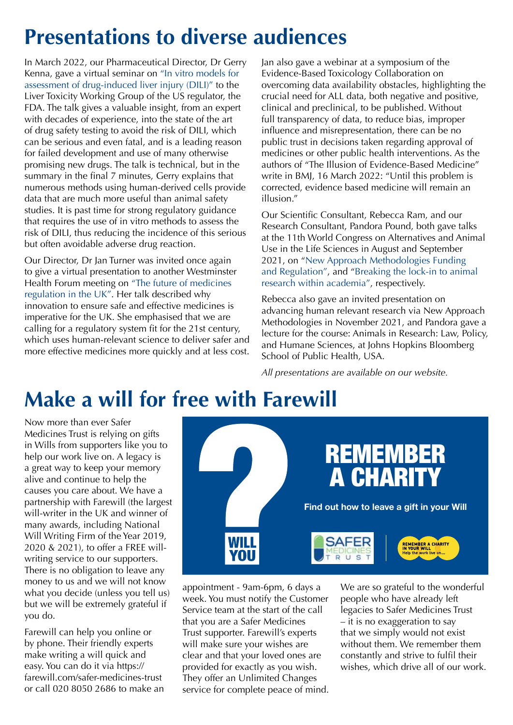### **Presentations to diverse audiences**

In March 2022, our Pharmaceutical Director, Dr Gerry Kenna, gave a virtual seminar on "In vitro models for assessment of drug-induced liver injury (DILI)" to the Liver Toxicity Working Group of the US regulator, the FDA. The talk gives a valuable insight, from an expert with decades of experience, into the state of the art of drug safety testing to avoid the risk of DILI, which can be serious and even fatal, and is a leading reason for failed development and use of many otherwise promising new drugs. The talk is technical, but in the summary in the final 7 minutes, Gerry explains that numerous methods using human-derived cells provide data that are much more useful than animal safety studies. It is past time for strong regulatory guidance that requires the use of in vitro methods to assess the risk of DILI, thus reducing the incidence of this serious but often avoidable adverse drug reaction.

Our Director, Dr Jan Turner was invited once again to give a virtual presentation to another Westminster Health Forum meeting on "The future of medicines regulation in the UK". Her talk described why innovation to ensure safe and effective medicines is imperative for the UK. She emphasised that we are calling for a regulatory system fit for the 21st century, which uses human-relevant science to deliver safer and more effective medicines more quickly and at less cost.

Jan also gave a webinar at a symposium of the Evidence-Based Toxicology Collaboration on overcoming data availability obstacles, highlighting the crucial need for ALL data, both negative and positive, clinical and preclinical, to be published. Without full transparency of data, to reduce bias, improper influence and misrepresentation, there can be no public trust in decisions taken regarding approval of medicines or other public health interventions. As the authors of "The Illusion of Evidence-Based Medicine" write in BMJ, 16 March 2022: "Until this problem is corrected, evidence based medicine will remain an illusion."

Our Scientific Consultant, Rebecca Ram, and our Research Consultant, Pandora Pound, both gave talks at the 11th World Congress on Alternatives and Animal Use in the Life Sciences in August and September 2021, on "New Approach Methodologies Funding and Regulation", and "Breaking the lock-in to animal research within academia", respectively.

Rebecca also gave an invited presentation on advancing human relevant research via New Approach Methodologies in November 2021, and Pandora gave a lecture for the course: Animals in Research: Law, Policy, and Humane Sciences, at Johns Hopkins Bloomberg School of Public Health, USA.

*All presentations are available on our website.*

### **Make a will for free with Farewill**

Now more than ever Safer Medicines Trust is relying on gifts in Wills from supporters like you to help our work live on. A legacy is a great way to keep your memory alive and continue to help the causes you care about. We have a partnership with Farewill (the largest will-writer in the UK and winner of many awards, including National Will Writing Firm of the Year 2019, 2020 & 2021), to offer a FREE willwriting service to our supporters. There is no obligation to leave any money to us and we will not know what you decide (unless you tell us) but we will be extremely grateful if you do.

Farewill can help you online or by phone. Their friendly experts make writing a will quick and easy. You can do it via https:// farewill.com/safer-medicines-trust or call 020 8050 2686 to make an



appointment - 9am-6pm, 6 days a week. You must notify the Customer Service team at the start of the call that you are a Safer Medicines Trust supporter. Farewill's experts will make sure your wishes are clear and that your loved ones are provided for exactly as you wish. They offer an Unlimited Changes service for complete peace of mind. appointment - 9am-6pm, 6 days a We are so grateful to the wonderful

people who have already left legacies to Safer Medicines Trust – it is no exaggeration to say that we simply would not exist without them. We remember them constantly and strive to fulfil their wishes, which drive all of our work.